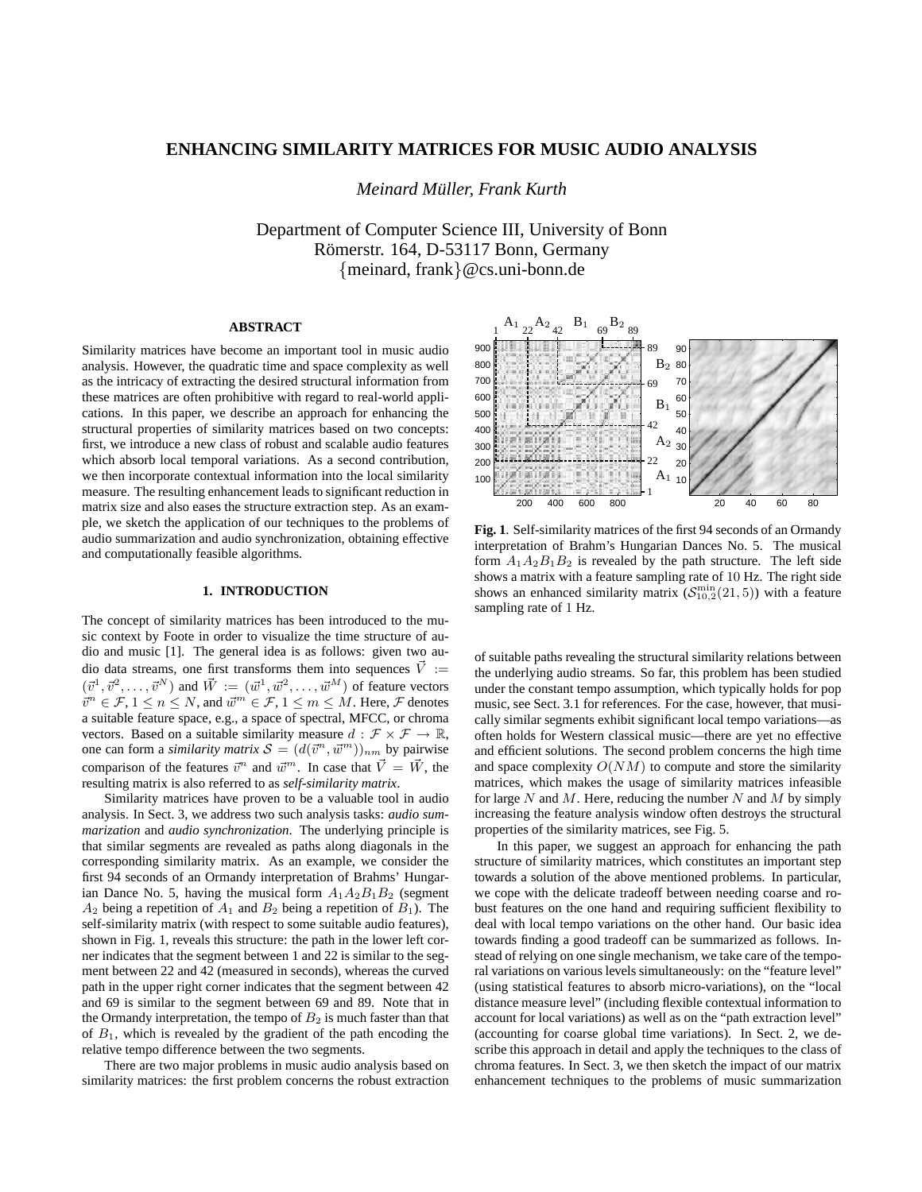# **ENHANCING SIMILARITY MATRICES FOR MUSIC AUDIO ANALYSIS**

*Meinard Muller, Frank Kurth ¨*

Department of Computer Science III, University of Bonn Römerstr. 164, D-53117 Bonn, Germany {meinard, frank}@cs.uni-bonn.de

# **ABSTRACT**

Similarity matrices have become an important tool in music audio analysis. However, the quadratic time and space complexity as well as the intricacy of extracting the desired structural information from these matrices are often prohibitive with regard to real-world applications. In this paper, we describe an approach for enhancing the structural properties of similarity matrices based on two concepts: first, we introduce a new class of robust and scalable audio features which absorb local temporal variations. As a second contribution, we then incorporate contextual information into the local similarity measure. The resulting enhancement leads to significant reduction in matrix size and also eases the structure extraction step. As an example, we sketch the application of our techniques to the problems of audio summarization and audio synchronization, obtaining effective and computationally feasible algorithms.

#### **1. INTRODUCTION**

The concept of similarity matrices has been introduced to the music context by Foote in order to visualize the time structure of audio and music [1]. The general idea is as follows: given two audio data streams, one first transforms them into sequences  $\vec{V}$  :=  $(\vec{v}^1, \vec{v}^2, \dots, \vec{v}^N)$  and  $\vec{W} := (\vec{w}^1, \vec{w}^2, \dots, \vec{w}^M)$  of feature vectors  $\vec{v}^n \in \mathcal{F}, 1 \leq n \leq N$ , and  $\vec{w}^m \in \mathcal{F}, 1 \leq m \leq M$ . Here,  $\mathcal F$  denotes a suitable feature space, e.g., a space of spectral, MFCC, or chroma vectors. Based on a suitable similarity measure  $d : \mathcal{F} \times \mathcal{F} \to \mathbb{R}$ , one can form a *similarity matrix*  $S = (d(\vec{v}^n, \vec{w}^m))_{nm}$  by pairwise comparison of the features  $\vec{v}^n$  and  $\vec{w}^m$ . In case that  $\vec{V} = \vec{W}$ , the resulting matrix is also referred to as *self-similarity matrix*.

Similarity matrices have proven to be a valuable tool in audio analysis. In Sect. 3, we address two such analysis tasks: *audio summarization* and *audio synchronization*. The underlying principle is that similar segments are revealed as paths along diagonals in the corresponding similarity matrix. As an example, we consider the first 94 seconds of an Ormandy interpretation of Brahms' Hungarian Dance No. 5, having the musical form  $A_1A_2B_1B_2$  (segment  $A_2$  being a repetition of  $A_1$  and  $B_2$  being a repetition of  $B_1$ ). The self-similarity matrix (with respect to some suitable audio features), shown in Fig. 1, reveals this structure: the path in the lower left corner indicates that the segment between 1 and 22 is similar to the segment between 22 and 42 (measured in seconds), whereas the curved path in the upper right corner indicates that the segment between 42 and 69 is similar to the segment between 69 and 89. Note that in the Ormandy interpretation, the tempo of  $B_2$  is much faster than that of  $B_1$ , which is revealed by the gradient of the path encoding the relative tempo difference between the two segments.

There are two major problems in music audio analysis based on similarity matrices: the first problem concerns the robust extraction



**Fig. 1**. Self-similarity matrices of the first 94 seconds of an Ormandy interpretation of Brahm's Hungarian Dances No. 5. The musical form  $A_1A_2B_1B_2$  is revealed by the path structure. The left side shows a matrix with a feature sampling rate of 10 Hz. The right side shows an enhanced similarity matrix  $(S_{10,2}^{min}(21,5))$  with a feature sampling rate of 1 Hz.

of suitable paths revealing the structural similarity relations between the underlying audio streams. So far, this problem has been studied under the constant tempo assumption, which typically holds for pop music, see Sect. 3.1 for references. For the case, however, that musically similar segments exhibit significant local tempo variations—as often holds for Western classical music—there are yet no effective and efficient solutions. The second problem concerns the high time and space complexity  $O(NM)$  to compute and store the similarity matrices, which makes the usage of similarity matrices infeasible for large N and M. Here, reducing the number N and M by simply increasing the feature analysis window often destroys the structural properties of the similarity matrices, see Fig. 5.

In this paper, we suggest an approach for enhancing the path structure of similarity matrices, which constitutes an important step towards a solution of the above mentioned problems. In particular, we cope with the delicate tradeoff between needing coarse and robust features on the one hand and requiring sufficient flexibility to deal with local tempo variations on the other hand. Our basic idea towards finding a good tradeoff can be summarized as follows. Instead of relying on one single mechanism, we take care of the temporal variations on various levels simultaneously: on the "feature level" (using statistical features to absorb micro-variations), on the "local distance measure level" (including flexible contextual information to account for local variations) as well as on the "path extraction level" (accounting for coarse global time variations). In Sect. 2, we describe this approach in detail and apply the techniques to the class of chroma features. In Sect. 3, we then sketch the impact of our matrix enhancement techniques to the problems of music summarization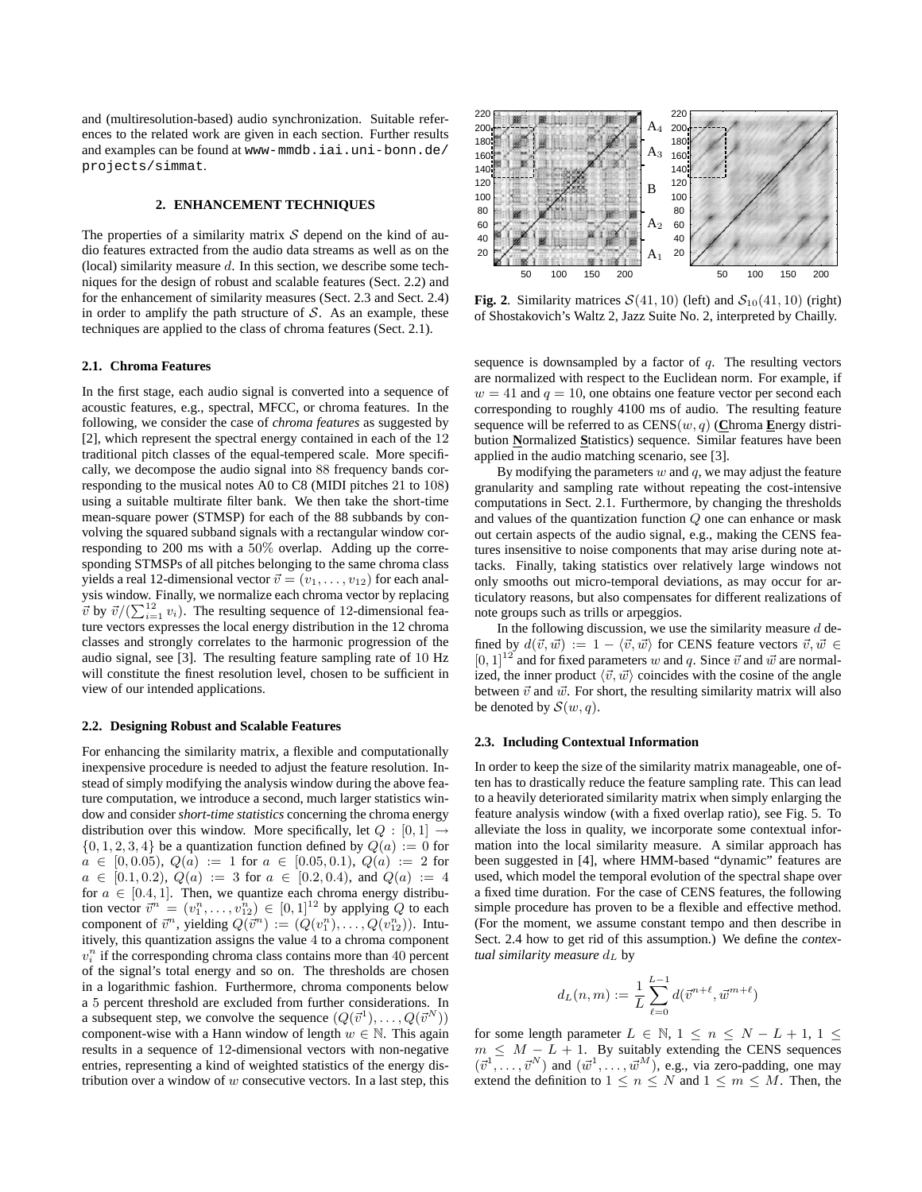and (multiresolution-based) audio synchronization. Suitable references to the related work are given in each section. Further results and examples can be found at www-mmdb.iai.uni-bonn.de/ projects/simmat.

# **2. ENHANCEMENT TECHNIQUES**

The properties of a similarity matrix  $S$  depend on the kind of audio features extracted from the audio data streams as well as on the (local) similarity measure  $d$ . In this section, we describe some techniques for the design of robust and scalable features (Sect. 2.2) and for the enhancement of similarity measures (Sect. 2.3 and Sect. 2.4) in order to amplify the path structure of  $S$ . As an example, these techniques are applied to the class of chroma features (Sect. 2.1).

## **2.1. Chroma Features**

In the first stage, each audio signal is converted into a sequence of acoustic features, e.g., spectral, MFCC, or chroma features. In the following, we consider the case of *chroma features* as suggested by [2], which represent the spectral energy contained in each of the 12 traditional pitch classes of the equal-tempered scale. More specifically, we decompose the audio signal into 88 frequency bands corresponding to the musical notes A0 to C8 (MIDI pitches 21 to 108) using a suitable multirate filter bank. We then take the short-time mean-square power (STMSP) for each of the 88 subbands by convolving the squared subband signals with a rectangular window corresponding to 200 ms with a 50% overlap. Adding up the corresponding STMSPs of all pitches belonging to the same chroma class yields a real 12-dimensional vector  $\vec{v} = (v_1, \dots, v_{12})$  for each analysis window. Finally, we normalize each chroma vector by replacing  $\vec{v}$  by  $\vec{v}/(\sum_{i=1}^{12} v_i)$ . The resulting sequence of 12-dimensional feature vectors expresses the local energy distribution in the 12 chroma classes and strongly correlates to the harmonic progression of the audio signal, see [3]. The resulting feature sampling rate of 10 Hz will constitute the finest resolution level, chosen to be sufficient in view of our intended applications.

#### **2.2. Designing Robust and Scalable Features**

For enhancing the similarity matrix, a flexible and computationally inexpensive procedure is needed to adjust the feature resolution. Instead of simply modifying the analysis window during the above feature computation, we introduce a second, much larger statistics window and consider *short-time statistics* concerning the chroma energy distribution over this window. More specifically, let  $Q : [0, 1] \rightarrow$  $\{0, 1, 2, 3, 4\}$  be a quantization function defined by  $Q(a) := 0$  for  $a \in [0, 0.05), Q(a) := 1$  for  $a \in [0.05, 0.1), Q(a) := 2$  for  $a \in [0.1, 0.2), Q(a) := 3$  for  $a \in [0.2, 0.4),$  and  $Q(a) := 4$ for  $a \in [0.4, 1]$ . Then, we quantize each chroma energy distribution vector  $\vec{v}^n = (v_1^n, \dots, v_{12}^n) \in [0, 1]^{12}$  by applying Q to each component of  $\vec{v}^n$ , yielding  $Q(\vec{v}^n) := (Q(v_1^n), \dots, Q(v_{12}^n))$ . Intuitively, this quantization assigns the value 4 to a chroma component  $v_i^n$  if the corresponding chroma class contains more than 40 percent of the signal's total energy and so on. The thresholds are chosen in a logarithmic fashion. Furthermore, chroma components below a 5 percent threshold are excluded from further considerations. In a subsequent step, we convolve the sequence  $(Q(\vec{v}^1), \dots, Q(\vec{v}^N))$ component-wise with a Hann window of length  $w \in \mathbb{N}$ . This again results in a sequence of 12-dimensional vectors with non-negative entries, representing a kind of weighted statistics of the energy distribution over a window of  $w$  consecutive vectors. In a last step, this



**Fig. 2**. Similarity matrices  $S(41, 10)$  (left) and  $S_{10}(41, 10)$  (right) of Shostakovich's Waltz 2, Jazz Suite No. 2, interpreted by Chailly.

sequence is downsampled by a factor of  $q$ . The resulting vectors are normalized with respect to the Euclidean norm. For example, if  $w = 41$  and  $q = 10$ , one obtains one feature vector per second each corresponding to roughly 4100 ms of audio. The resulting feature sequence will be referred to as  $CENS(w, q)$  (Chroma Energy distribution **N**ormalized **S**tatistics) sequence. Similar features have been applied in the audio matching scenario, see [3].

By modifying the parameters  $w$  and  $q$ , we may adjust the feature granularity and sampling rate without repeating the cost-intensive computations in Sect. 2.1. Furthermore, by changing the thresholds and values of the quantization function Q one can enhance or mask out certain aspects of the audio signal, e.g., making the CENS features insensitive to noise components that may arise during note attacks. Finally, taking statistics over relatively large windows not only smooths out micro-temporal deviations, as may occur for articulatory reasons, but also compensates for different realizations of note groups such as trills or arpeggios.

In the following discussion, we use the similarity measure  $d$  defined by  $d(\vec{v}, \vec{w}) := 1 - \langle \vec{v}, \vec{w} \rangle$  for CENS feature vectors  $\vec{v}, \vec{w} \in$  $[0, 1]^{12}$  and for fixed parameters w and q. Since  $\vec{v}$  and  $\vec{w}$  are normalized, the inner product  $\langle \vec{v}, \vec{w} \rangle$  coincides with the cosine of the angle between  $\vec{v}$  and  $\vec{w}$ . For short, the resulting similarity matrix will also be denoted by  $\mathcal{S}(w, q)$ .

#### **2.3. Including Contextual Information**

In order to keep the size of the similarity matrix manageable, one often has to drastically reduce the feature sampling rate. This can lead to a heavily deteriorated similarity matrix when simply enlarging the feature analysis window (with a fixed overlap ratio), see Fig. 5. To alleviate the loss in quality, we incorporate some contextual information into the local similarity measure. A similar approach has been suggested in [4], where HMM-based "dynamic" features are used, which model the temporal evolution of the spectral shape over a fixed time duration. For the case of CENS features, the following simple procedure has proven to be a flexible and effective method. (For the moment, we assume constant tempo and then describe in Sect. 2.4 how to get rid of this assumption.) We define the *contextual similarity measure*  $d_L$  by

$$
d_L(n,m) := \frac{1}{L} \sum_{\ell=0}^{L-1} d(\vec{v}^{n+\ell}, \vec{w}^{m+\ell})
$$

for some length parameter  $L \in \mathbb{N}$ ,  $1 \le n \le N - L + 1$ ,  $1 \le$  $m \leq M - L + 1$ . By suitably extending the CENS sequences  $(\vec{v}^1, \ldots, \vec{v}^N)$  and  $(\vec{w}^1, \ldots, \vec{w}^M)$ , e.g., via zero-padding, one may extend the definition to  $1 \leq n \leq N$  and  $1 \leq m \leq M$ . Then, the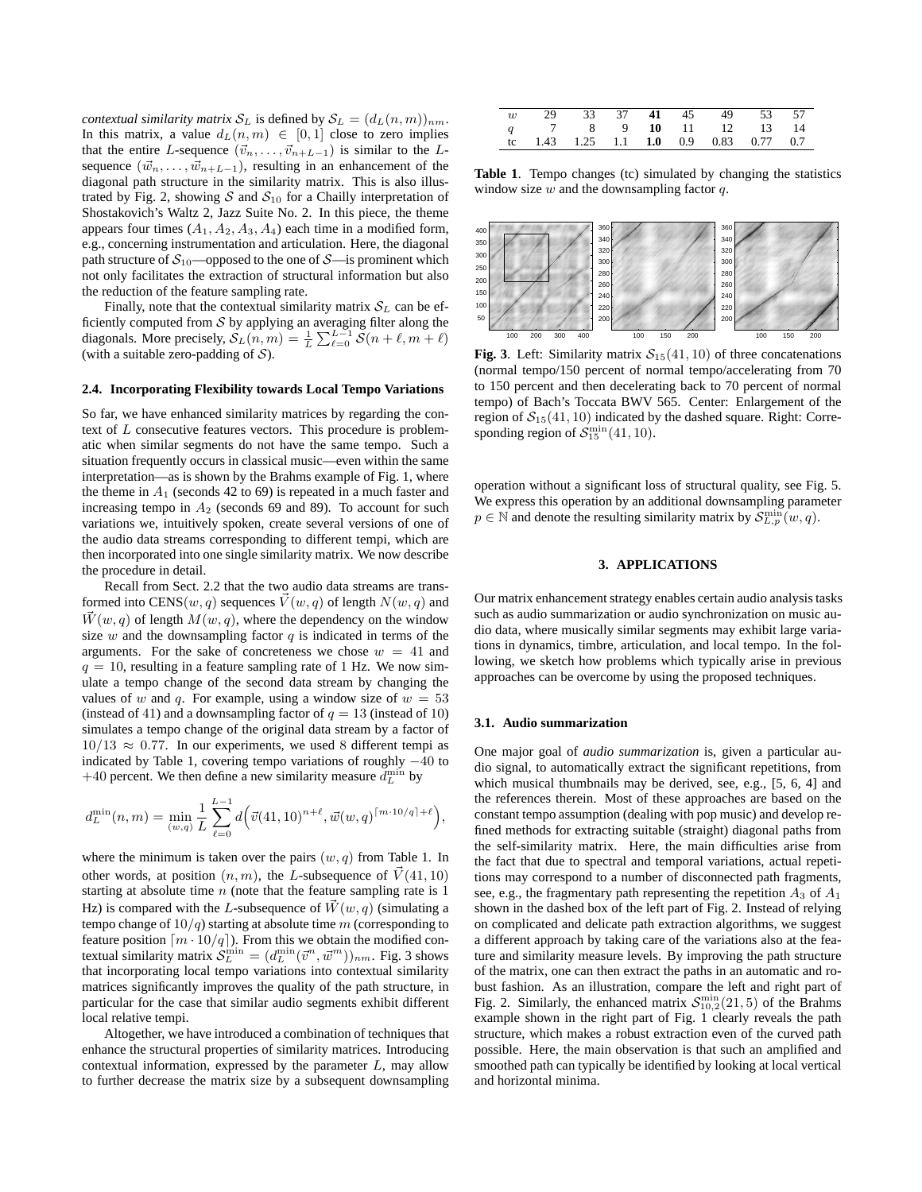*contextual similarity matrix*  $S_L$  is defined by  $S_L = (d_L(n, m))_{nm}$ . In this matrix, a value  $d_L(n,m) \in [0,1]$  close to zero implies that the entire L-sequence  $(\vec{v}_n, \ldots, \vec{v}_{n+L-1})$  is similar to the Lsequence  $(\vec{w}_n, \dots, \vec{w}_{n+L-1})$ , resulting in an enhancement of the diagonal path structure in the similarity matrix. This is also illustrated by Fig. 2, showing  $S$  and  $S_{10}$  for a Chailly interpretation of Shostakovich's Waltz 2, Jazz Suite No. 2. In this piece, the theme appears four times  $(A_1, A_2, A_3, A_4)$  each time in a modified form, e.g., concerning instrumentation and articulation. Here, the diagonal path structure of  $S_{10}$ —opposed to the one of  $S$ —is prominent which not only facilitates the extraction of structural information but also the reduction of the feature sampling rate.

Finally, note that the contextual similarity matrix  $S_L$  can be efficiently computed from  $S$  by applying an averaging filter along the diagonals. More precisely,  $S_L(n, m) = \frac{1}{L} \sum_{\ell=0}^{L-1} S(n + \ell, m + \ell)$ (with a suitable zero-padding of  $S$ ).

### **2.4. Incorporating Flexibility towards Local Tempo Variations**

So far, we have enhanced similarity matrices by regarding the context of L consecutive features vectors. This procedure is problematic when similar segments do not have the same tempo. Such a situation frequently occurs in classical music—even within the same interpretation—as is shown by the Brahms example of Fig. 1, where the theme in  $A_1$  (seconds 42 to 69) is repeated in a much faster and increasing tempo in  $A_2$  (seconds 69 and 89). To account for such variations we, intuitively spoken, create several versions of one of the audio data streams corresponding to different tempi, which are then incorporated into one single similarity matrix. We now describe the procedure in detail.

Recall from Sect. 2.2 that the two audio data streams are transformed into CENS(w, q) sequences  $\vec{V}(w, q)$  of length  $N(w, q)$  and  $\vec{W}(w, q)$  of length  $M(w, q)$ , where the dependency on the window size w and the downsampling factor  $q$  is indicated in terms of the arguments. For the sake of concreteness we chose  $w = 41$  and  $q = 10$ , resulting in a feature sampling rate of 1 Hz. We now simulate a tempo change of the second data stream by changing the values of w and q. For example, using a window size of  $w = 53$ (instead of 41) and a downsampling factor of  $q = 13$  (instead of 10) simulates a tempo change of the original data stream by a factor of  $10/13 \approx 0.77$ . In our experiments, we used 8 different tempi as indicated by Table 1, covering tempo variations of roughly −40 to +40 percent. We then define a new similarity measure  $d_L^{\text{min}}$  by

$$
d_L^{\min}(n,m) = \min_{(w,q)} \frac{1}{L} \sum_{\ell=0}^{L-1} d(\vec{v}(41, 10)^{n+\ell}, \vec{w}(w,q)^{\lceil m \cdot 10/q \rceil + \ell}),
$$

where the minimum is taken over the pairs  $(w, q)$  from Table 1. In other words, at position  $(n, m)$ , the L-subsequence of  $\vec{V}(41, 10)$ starting at absolute time  $n$  (note that the feature sampling rate is 1) Hz) is compared with the L-subsequence of  $\vec{W}(w, q)$  (simulating a tempo change of  $10/q$ ) starting at absolute time m (corresponding to feature position  $\lceil m \cdot 10/q \rceil$ ). From this we obtain the modified contextual similarity matrix  $\mathcal{S}_L^{\min} = (d_L^{\min}(\vec{v}^n, \vec{w}^m))_{nm}$ . Fig. 3 shows that incorporating local tempo variations into contextual similarity matrices significantly improves the quality of the path structure, in particular for the case that similar audio segments exhibit different local relative tempi.

Altogether, we have introduced a combination of techniques that enhance the structural properties of similarity matrices. Introducing contextual information, expressed by the parameter  $L$ , may allow to further decrease the matrix size by a subsequent downsampling

| w 29 33 37 41 45 49 53 57              |  |  |  |  |
|----------------------------------------|--|--|--|--|
| q 7 8 9 10 11 12 13 14                 |  |  |  |  |
| tc 1.43 1.25 1.1 1.0 0.9 0.83 0.77 0.7 |  |  |  |  |

**Table 1**. Tempo changes (tc) simulated by changing the statistics window size  $w$  and the downsampling factor  $q$ .



**Fig. 3**. Left: Similarity matrix  $S_{15}(41, 10)$  of three concatenations (normal tempo/150 percent of normal tempo/accelerating from 70 to 150 percent and then decelerating back to 70 percent of normal tempo) of Bach's Toccata BWV 565. Center: Enlargement of the region of  $S_{15}(41, 10)$  indicated by the dashed square. Right: Corresponding region of  $\mathcal{S}_{15}^{\min}(41, 10)$ .

operation without a significant loss of structural quality, see Fig. 5. We express this operation by an additional downsampling parameter  $p \in \mathbb{N}$  and denote the resulting similarity matrix by  $\mathcal{S}_{L,p}^{\min}(w,q)$ .

## **3. APPLICATIONS**

Our matrix enhancement strategy enables certain audio analysis tasks such as audio summarization or audio synchronization on music audio data, where musically similar segments may exhibit large variations in dynamics, timbre, articulation, and local tempo. In the following, we sketch how problems which typically arise in previous approaches can be overcome by using the proposed techniques.

#### **3.1. Audio summarization**

One major goal of *audio summarization* is, given a particular audio signal, to automatically extract the significant repetitions, from which musical thumbnails may be derived, see, e.g., [5, 6, 4] and the references therein. Most of these approaches are based on the constant tempo assumption (dealing with pop music) and develop refined methods for extracting suitable (straight) diagonal paths from the self-similarity matrix. Here, the main difficulties arise from the fact that due to spectral and temporal variations, actual repetitions may correspond to a number of disconnected path fragments, see, e.g., the fragmentary path representing the repetition  $A_3$  of  $A_1$ shown in the dashed box of the left part of Fig. 2. Instead of relying on complicated and delicate path extraction algorithms, we suggest a different approach by taking care of the variations also at the feature and similarity measure levels. By improving the path structure of the matrix, one can then extract the paths in an automatic and robust fashion. As an illustration, compare the left and right part of Fig. 2. Similarly, the enhanced matrix  $S_{10,2}^{\text{min}}(21,5)$  of the Brahms example shown in the right part of Fig. 1 clearly reveals the path structure, which makes a robust extraction even of the curved path possible. Here, the main observation is that such an amplified and smoothed path can typically be identified by looking at local vertical and horizontal minima.